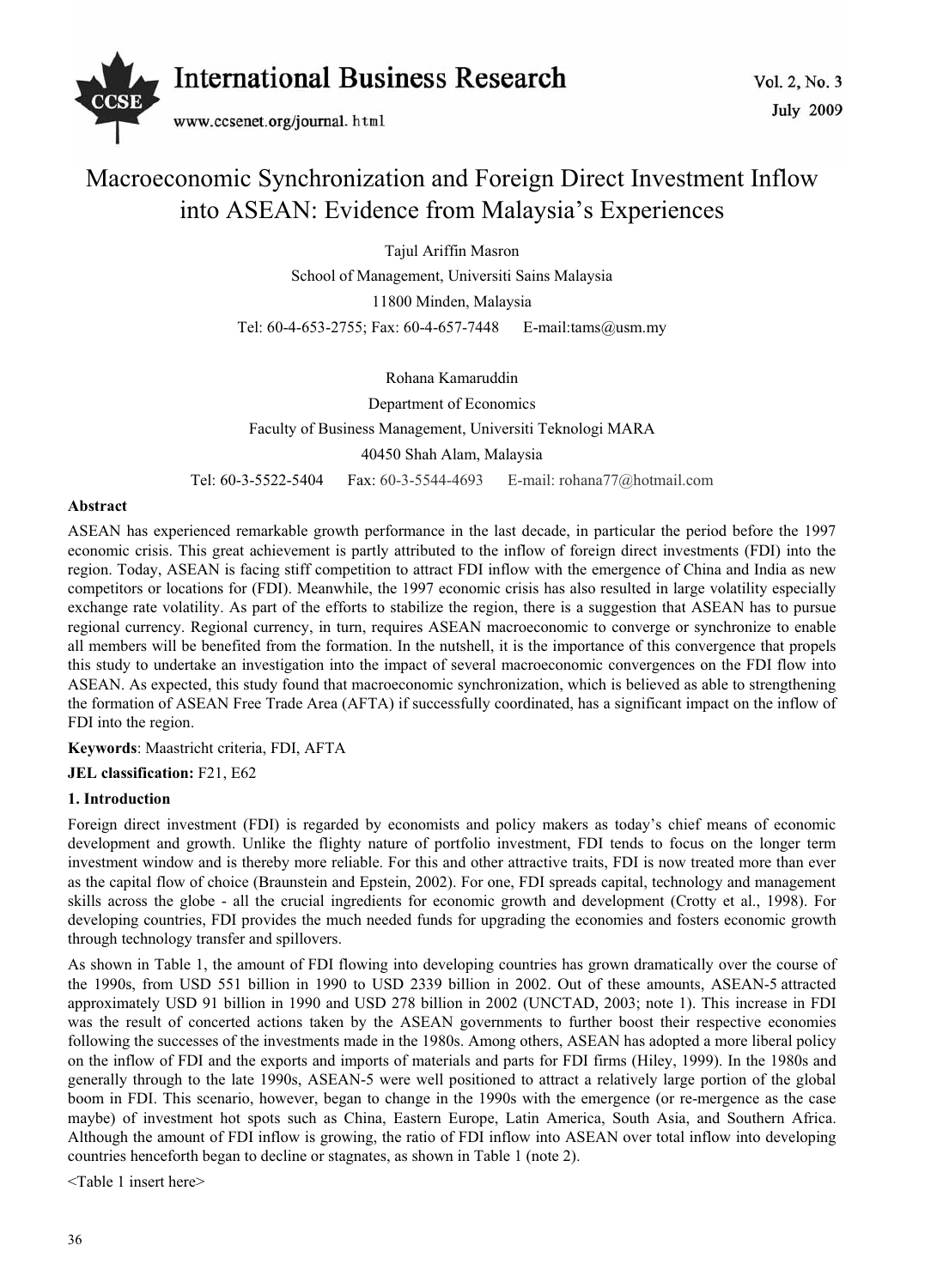

# Macroeconomic Synchronization and Foreign Direct Investment Inflow into ASEAN: Evidence from Malaysia's Experiences

Tajul Ariffin Masron School of Management, Universiti Sains Malaysia 11800 Minden, Malaysia Tel: 60-4-653-2755; Fax: 60-4-657-7448 E-mail:tams@usm.my

Rohana Kamaruddin Department of Economics Faculty of Business Management, Universiti Teknologi MARA 40450 Shah Alam, Malaysia Tel: 60-3-5522-5404 Fax: 60-3-5544-4693 E-mail: rohana77@hotmail.com

# **Abstract**

ASEAN has experienced remarkable growth performance in the last decade, in particular the period before the 1997 economic crisis. This great achievement is partly attributed to the inflow of foreign direct investments (FDI) into the region. Today, ASEAN is facing stiff competition to attract FDI inflow with the emergence of China and India as new competitors or locations for (FDI). Meanwhile, the 1997 economic crisis has also resulted in large volatility especially exchange rate volatility. As part of the efforts to stabilize the region, there is a suggestion that ASEAN has to pursue regional currency. Regional currency, in turn, requires ASEAN macroeconomic to converge or synchronize to enable all members will be benefited from the formation. In the nutshell, it is the importance of this convergence that propels this study to undertake an investigation into the impact of several macroeconomic convergences on the FDI flow into ASEAN. As expected, this study found that macroeconomic synchronization, which is believed as able to strengthening the formation of ASEAN Free Trade Area (AFTA) if successfully coordinated, has a significant impact on the inflow of FDI into the region.

**Keywords**: Maastricht criteria, FDI, AFTA

**JEL classification:** F21, E62

# **1. Introduction**

Foreign direct investment (FDI) is regarded by economists and policy makers as today's chief means of economic development and growth. Unlike the flighty nature of portfolio investment, FDI tends to focus on the longer term investment window and is thereby more reliable. For this and other attractive traits, FDI is now treated more than ever as the capital flow of choice (Braunstein and Epstein, 2002). For one, FDI spreads capital, technology and management skills across the globe - all the crucial ingredients for economic growth and development (Crotty et al., 1998). For developing countries, FDI provides the much needed funds for upgrading the economies and fosters economic growth through technology transfer and spillovers.

As shown in Table 1, the amount of FDI flowing into developing countries has grown dramatically over the course of the 1990s, from USD 551 billion in 1990 to USD 2339 billion in 2002. Out of these amounts, ASEAN-5 attracted approximately USD 91 billion in 1990 and USD 278 billion in 2002 (UNCTAD, 2003; note 1). This increase in FDI was the result of concerted actions taken by the ASEAN governments to further boost their respective economies following the successes of the investments made in the 1980s. Among others, ASEAN has adopted a more liberal policy on the inflow of FDI and the exports and imports of materials and parts for FDI firms (Hiley, 1999). In the 1980s and generally through to the late 1990s, ASEAN-5 were well positioned to attract a relatively large portion of the global boom in FDI. This scenario, however, began to change in the 1990s with the emergence (or re-mergence as the case maybe) of investment hot spots such as China, Eastern Europe, Latin America, South Asia, and Southern Africa. Although the amount of FDI inflow is growing, the ratio of FDI inflow into ASEAN over total inflow into developing countries henceforth began to decline or stagnates, as shown in Table 1 (note 2).

<Table 1 insert here>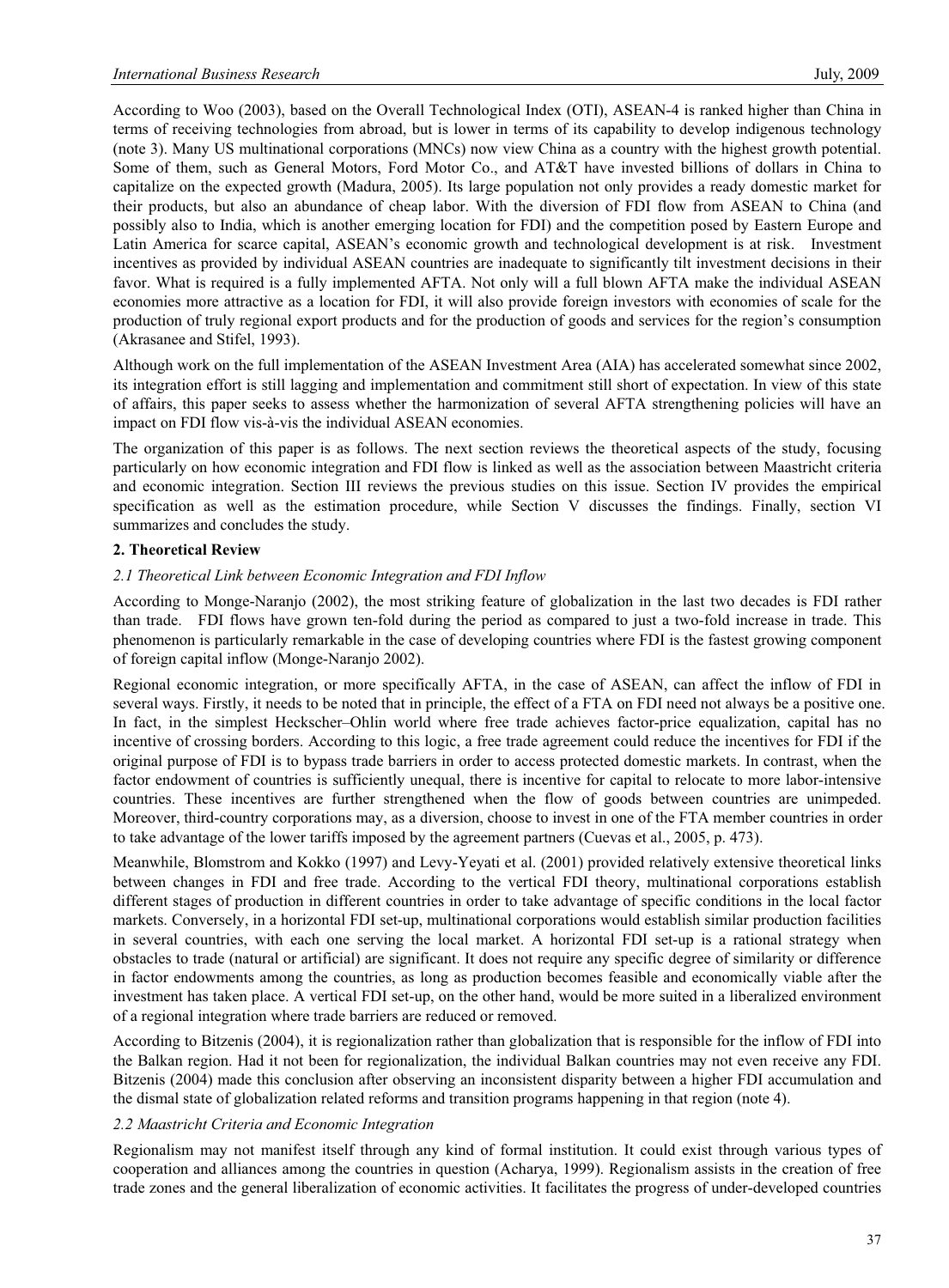According to Woo (2003), based on the Overall Technological Index (OTI), ASEAN-4 is ranked higher than China in terms of receiving technologies from abroad, but is lower in terms of its capability to develop indigenous technology (note 3). Many US multinational corporations (MNCs) now view China as a country with the highest growth potential. Some of them, such as General Motors, Ford Motor Co., and AT&T have invested billions of dollars in China to capitalize on the expected growth (Madura, 2005). Its large population not only provides a ready domestic market for their products, but also an abundance of cheap labor. With the diversion of FDI flow from ASEAN to China (and possibly also to India, which is another emerging location for FDI) and the competition posed by Eastern Europe and Latin America for scarce capital, ASEAN's economic growth and technological development is at risk. Investment incentives as provided by individual ASEAN countries are inadequate to significantly tilt investment decisions in their favor. What is required is a fully implemented AFTA. Not only will a full blown AFTA make the individual ASEAN economies more attractive as a location for FDI, it will also provide foreign investors with economies of scale for the production of truly regional export products and for the production of goods and services for the region's consumption (Akrasanee and Stifel, 1993).

Although work on the full implementation of the ASEAN Investment Area (AIA) has accelerated somewhat since 2002, its integration effort is still lagging and implementation and commitment still short of expectation. In view of this state of affairs, this paper seeks to assess whether the harmonization of several AFTA strengthening policies will have an impact on FDI flow vis-à-vis the individual ASEAN economies.

The organization of this paper is as follows. The next section reviews the theoretical aspects of the study, focusing particularly on how economic integration and FDI flow is linked as well as the association between Maastricht criteria and economic integration. Section III reviews the previous studies on this issue. Section IV provides the empirical specification as well as the estimation procedure, while Section V discusses the findings. Finally, section VI summarizes and concludes the study.

# **2. Theoretical Review**

## *2.1 Theoretical Link between Economic Integration and FDI Inflow*

According to Monge-Naranjo (2002), the most striking feature of globalization in the last two decades is FDI rather than trade. FDI flows have grown ten-fold during the period as compared to just a two-fold increase in trade. This phenomenon is particularly remarkable in the case of developing countries where FDI is the fastest growing component of foreign capital inflow (Monge-Naranjo 2002).

Regional economic integration, or more specifically AFTA, in the case of ASEAN, can affect the inflow of FDI in several ways. Firstly, it needs to be noted that in principle, the effect of a FTA on FDI need not always be a positive one. In fact, in the simplest Heckscher–Ohlin world where free trade achieves factor-price equalization, capital has no incentive of crossing borders. According to this logic, a free trade agreement could reduce the incentives for FDI if the original purpose of FDI is to bypass trade barriers in order to access protected domestic markets. In contrast, when the factor endowment of countries is sufficiently unequal, there is incentive for capital to relocate to more labor-intensive countries. These incentives are further strengthened when the flow of goods between countries are unimpeded. Moreover, third-country corporations may, as a diversion, choose to invest in one of the FTA member countries in order to take advantage of the lower tariffs imposed by the agreement partners (Cuevas et al., 2005, p. 473).

Meanwhile, Blomstrom and Kokko (1997) and Levy-Yeyati et al. (2001) provided relatively extensive theoretical links between changes in FDI and free trade. According to the vertical FDI theory, multinational corporations establish different stages of production in different countries in order to take advantage of specific conditions in the local factor markets. Conversely, in a horizontal FDI set-up, multinational corporations would establish similar production facilities in several countries, with each one serving the local market. A horizontal FDI set-up is a rational strategy when obstacles to trade (natural or artificial) are significant. It does not require any specific degree of similarity or difference in factor endowments among the countries, as long as production becomes feasible and economically viable after the investment has taken place. A vertical FDI set-up, on the other hand, would be more suited in a liberalized environment of a regional integration where trade barriers are reduced or removed.

According to Bitzenis (2004), it is regionalization rather than globalization that is responsible for the inflow of FDI into the Balkan region. Had it not been for regionalization, the individual Balkan countries may not even receive any FDI. Bitzenis (2004) made this conclusion after observing an inconsistent disparity between a higher FDI accumulation and the dismal state of globalization related reforms and transition programs happening in that region (note 4).

## *2.2 Maastricht Criteria and Economic Integration*

Regionalism may not manifest itself through any kind of formal institution. It could exist through various types of cooperation and alliances among the countries in question (Acharya, 1999). Regionalism assists in the creation of free trade zones and the general liberalization of economic activities. It facilitates the progress of under-developed countries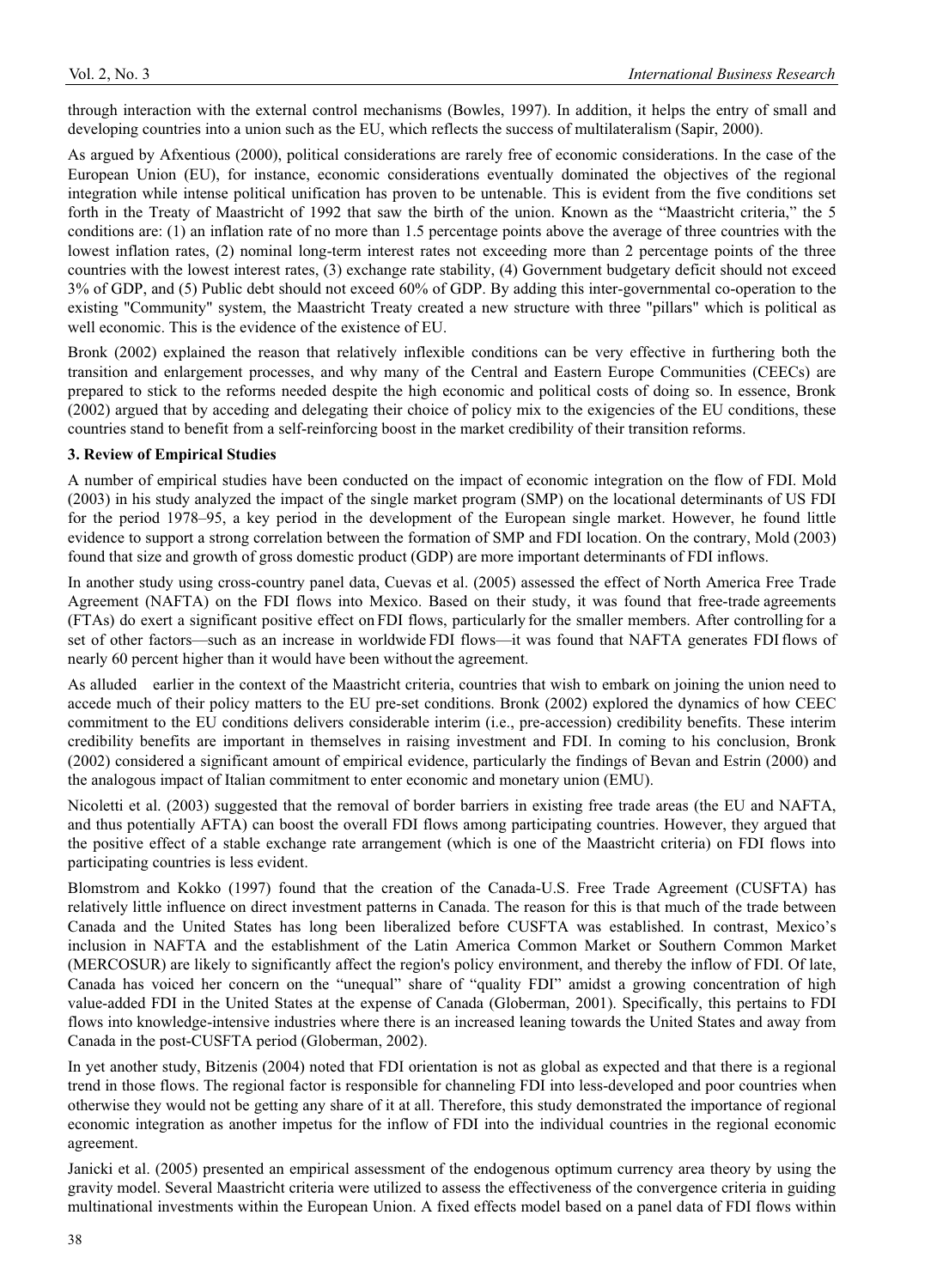through interaction with the external control mechanisms (Bowles, 1997). In addition, it helps the entry of small and developing countries into a union such as the EU, which reflects the success of multilateralism (Sapir, 2000).

As argued by Afxentious (2000), political considerations are rarely free of economic considerations. In the case of the European Union (EU), for instance, economic considerations eventually dominated the objectives of the regional integration while intense political unification has proven to be untenable. This is evident from the five conditions set forth in the Treaty of Maastricht of 1992 that saw the birth of the union. Known as the "Maastricht criteria," the 5 conditions are: (1) an inflation rate of no more than 1.5 percentage points above the average of three countries with the lowest inflation rates, (2) nominal long-term interest rates not exceeding more than 2 percentage points of the three countries with the lowest interest rates, (3) exchange rate stability, (4) Government budgetary deficit should not exceed 3% of GDP, and (5) Public debt should not exceed 60% of GDP. By adding this inter-governmental co-operation to the existing "Community" system, the Maastricht Treaty created a new structure with three "pillars" which is political as well economic. This is the evidence of the existence of EU.

Bronk (2002) explained the reason that relatively inflexible conditions can be very effective in furthering both the transition and enlargement processes, and why many of the Central and Eastern Europe Communities (CEECs) are prepared to stick to the reforms needed despite the high economic and political costs of doing so. In essence, Bronk (2002) argued that by acceding and delegating their choice of policy mix to the exigencies of the EU conditions, these countries stand to benefit from a self-reinforcing boost in the market credibility of their transition reforms.

# **3. Review of Empirical Studies**

A number of empirical studies have been conducted on the impact of economic integration on the flow of FDI. Mold (2003) in his study analyzed the impact of the single market program (SMP) on the locational determinants of US FDI for the period 1978–95, a key period in the development of the European single market. However, he found little evidence to support a strong correlation between the formation of SMP and FDI location. On the contrary, Mold (2003) found that size and growth of gross domestic product (GDP) are more important determinants of FDI inflows.

In another study using cross-country panel data, Cuevas et al. (2005) assessed the effect of North America Free Trade Agreement (NAFTA) on the FDI flows into Mexico. Based on their study, it was found that free-trade agreements (FTAs) do exert a significant positive effect on FDI flows, particularly for the smaller members. After controlling for a set of other factors—such as an increase in worldwide FDI flows—it was found that NAFTA generates FDI flows of nearly 60 percent higher than it would have been without the agreement.

As alluded earlier in the context of the Maastricht criteria, countries that wish to embark on joining the union need to accede much of their policy matters to the EU pre-set conditions. Bronk (2002) explored the dynamics of how CEEC commitment to the EU conditions delivers considerable interim (i.e., pre-accession) credibility benefits. These interim credibility benefits are important in themselves in raising investment and FDI. In coming to his conclusion, Bronk (2002) considered a significant amount of empirical evidence, particularly the findings of Bevan and Estrin (2000) and the analogous impact of Italian commitment to enter economic and monetary union (EMU).

Nicoletti et al. (2003) suggested that the removal of border barriers in existing free trade areas (the EU and NAFTA, and thus potentially AFTA) can boost the overall FDI flows among participating countries. However, they argued that the positive effect of a stable exchange rate arrangement (which is one of the Maastricht criteria) on FDI flows into participating countries is less evident.

Blomstrom and Kokko (1997) found that the creation of the Canada-U.S. Free Trade Agreement (CUSFTA) has relatively little influence on direct investment patterns in Canada. The reason for this is that much of the trade between Canada and the United States has long been liberalized before CUSFTA was established. In contrast, Mexico's inclusion in NAFTA and the establishment of the Latin America Common Market or Southern Common Market (MERCOSUR) are likely to significantly affect the region's policy environment, and thereby the inflow of FDI. Of late, Canada has voiced her concern on the "unequal" share of "quality FDI" amidst a growing concentration of high value-added FDI in the United States at the expense of Canada (Globerman, 2001). Specifically, this pertains to FDI flows into knowledge-intensive industries where there is an increased leaning towards the United States and away from Canada in the post-CUSFTA period (Globerman, 2002).

In yet another study, Bitzenis (2004) noted that FDI orientation is not as global as expected and that there is a regional trend in those flows. The regional factor is responsible for channeling FDI into less-developed and poor countries when otherwise they would not be getting any share of it at all. Therefore, this study demonstrated the importance of regional economic integration as another impetus for the inflow of FDI into the individual countries in the regional economic agreement.

Janicki et al. (2005) presented an empirical assessment of the endogenous optimum currency area theory by using the gravity model. Several Maastricht criteria were utilized to assess the effectiveness of the convergence criteria in guiding multinational investments within the European Union. A fixed effects model based on a panel data of FDI flows within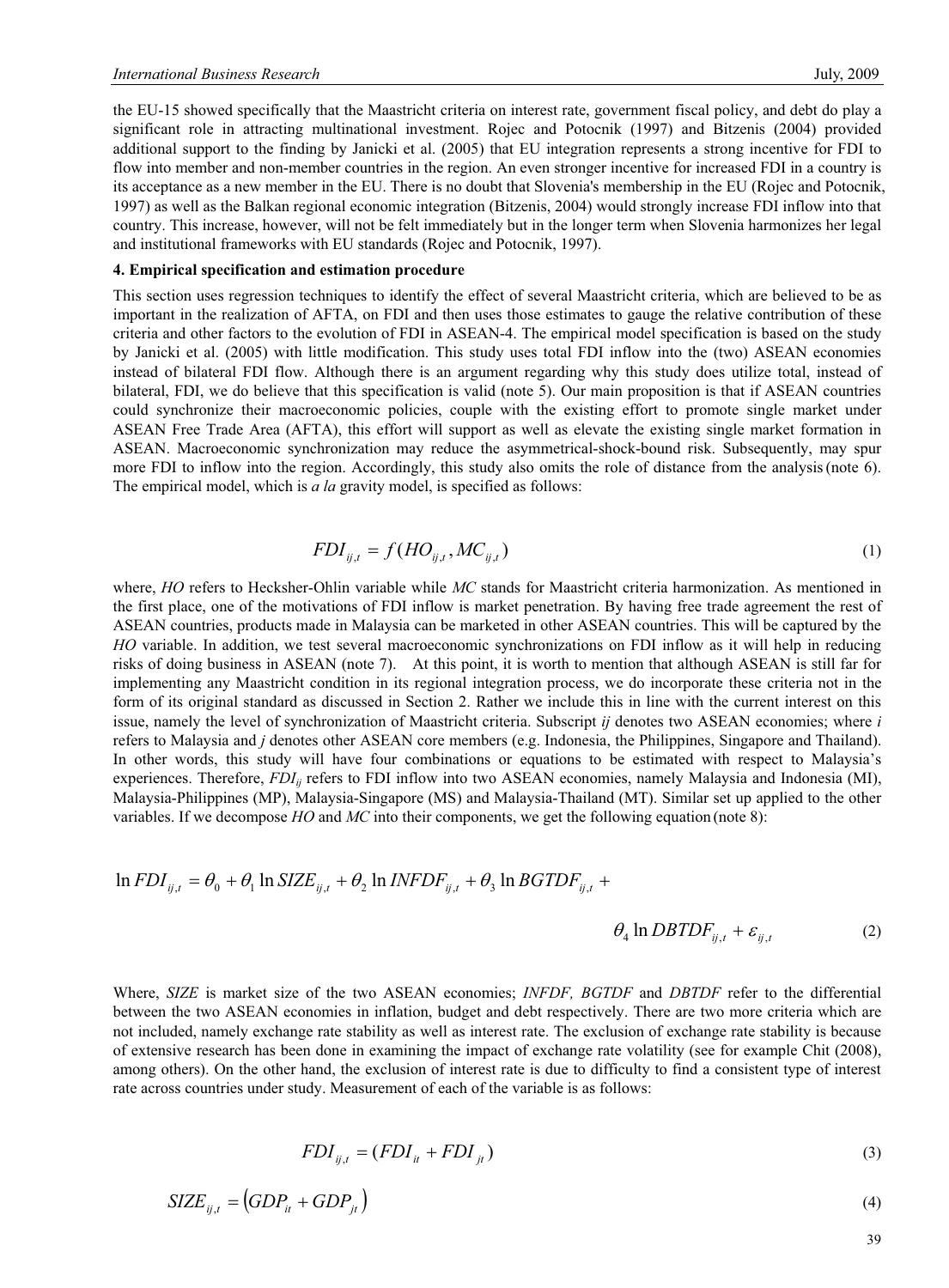the EU-15 showed specifically that the Maastricht criteria on interest rate, government fiscal policy, and debt do play a significant role in attracting multinational investment. Rojec and Potocnik (1997) and Bitzenis (2004) provided additional support to the finding by Janicki et al. (2005) that EU integration represents a strong incentive for FDI to flow into member and non-member countries in the region. An even stronger incentive for increased FDI in a country is its acceptance as a new member in the EU. There is no doubt that Slovenia's membership in the EU (Rojec and Potocnik, 1997) as well as the Balkan regional economic integration (Bitzenis, 2004) would strongly increase FDI inflow into that country. This increase, however, will not be felt immediately but in the longer term when Slovenia harmonizes her legal and institutional frameworks with EU standards (Rojec and Potocnik, 1997).

### **4. Empirical specification and estimation procedure**

This section uses regression techniques to identify the effect of several Maastricht criteria, which are believed to be as important in the realization of AFTA, on FDI and then uses those estimates to gauge the relative contribution of these criteria and other factors to the evolution of FDI in ASEAN-4. The empirical model specification is based on the study by Janicki et al. (2005) with little modification. This study uses total FDI inflow into the (two) ASEAN economies instead of bilateral FDI flow. Although there is an argument regarding why this study does utilize total, instead of bilateral, FDI, we do believe that this specification is valid (note 5). Our main proposition is that if ASEAN countries could synchronize their macroeconomic policies, couple with the existing effort to promote single market under ASEAN Free Trade Area (AFTA), this effort will support as well as elevate the existing single market formation in ASEAN. Macroeconomic synchronization may reduce the asymmetrical-shock-bound risk. Subsequently, may spur more FDI to inflow into the region. Accordingly, this study also omits the role of distance from the analysis(note 6). The empirical model, which is *a la* gravity model, is specified as follows:

$$
FDI_{ij,t} = f(HO_{ij,t}, MC_{ij,t})
$$
\n<sup>(1)</sup>

where, *HO* refers to Hecksher-Ohlin variable while *MC* stands for Maastricht criteria harmonization. As mentioned in the first place, one of the motivations of FDI inflow is market penetration. By having free trade agreement the rest of ASEAN countries, products made in Malaysia can be marketed in other ASEAN countries. This will be captured by the *HO* variable. In addition, we test several macroeconomic synchronizations on FDI inflow as it will help in reducing risks of doing business in ASEAN (note 7). At this point, it is worth to mention that although ASEAN is still far for implementing any Maastricht condition in its regional integration process, we do incorporate these criteria not in the form of its original standard as discussed in Section 2. Rather we include this in line with the current interest on this issue, namely the level of synchronization of Maastricht criteria. Subscript *ij* denotes two ASEAN economies; where *i* refers to Malaysia and *j* denotes other ASEAN core members (e.g. Indonesia, the Philippines, Singapore and Thailand). In other words, this study will have four combinations or equations to be estimated with respect to Malaysia's experiences. Therefore, *FDI<sub>ij</sub>* refers to FDI inflow into two ASEAN economies, namely Malaysia and Indonesia (MI), Malaysia-Philippines (MP), Malaysia-Singapore (MS) and Malaysia-Thailand (MT). Similar set up applied to the other variables. If we decompose *HO* and *MC* into their components, we get the following equation (note 8):

$$
\ln FDI_{ij,t} = \theta_0 + \theta_1 \ln SIZE_{ij,t} + \theta_2 \ln INFDF_{ij,t} + \theta_3 \ln BGTDF_{ij,t} +
$$

$$
\theta_4 \ln DBTDF_{ij,t} + \varepsilon_{ij,t} \tag{2}
$$

Where, *SIZE* is market size of the two ASEAN economies; *INFDF, BGTDF* and *DBTDF* refer to the differential between the two ASEAN economies in inflation, budget and debt respectively. There are two more criteria which are not included, namely exchange rate stability as well as interest rate. The exclusion of exchange rate stability is because of extensive research has been done in examining the impact of exchange rate volatility (see for example Chit (2008), among others). On the other hand, the exclusion of interest rate is due to difficulty to find a consistent type of interest rate across countries under study. Measurement of each of the variable is as follows:

$$
FDI_{ij,t} = (FDI_{it} + FDI_{jt})
$$
\n<sup>(3)</sup>

$$
SIZE_{ij,t} = (GDP_{it} + GDP_{jt})
$$
\n(4)

39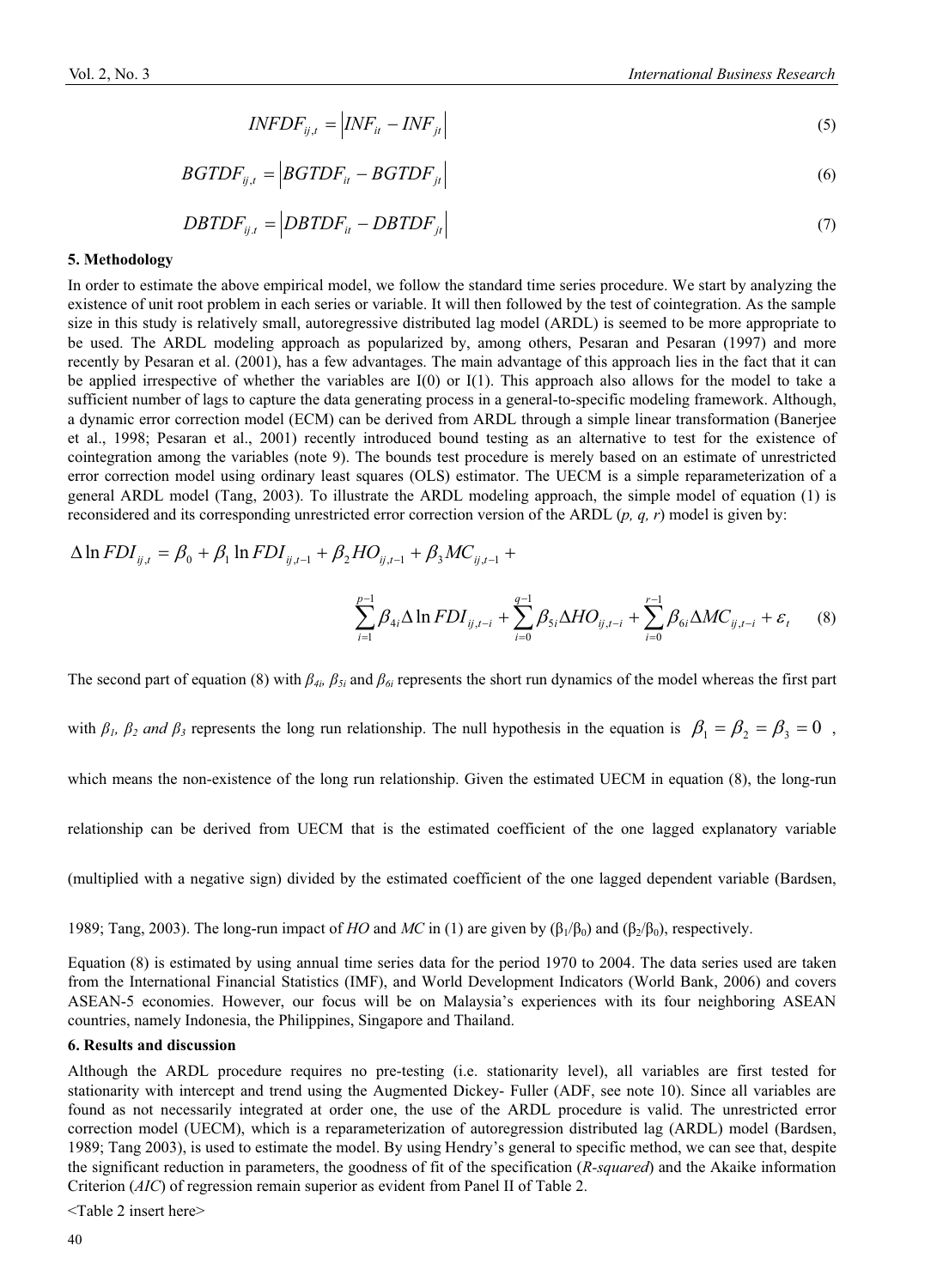$$
INFDF_{ij,t} = \left| INF_{it} - INF_{jt} \right| \tag{5}
$$

$$
BGTDF_{ij,t} = \left| BGTDF_{it} - BGTDF_{jt} \right| \tag{6}
$$

$$
DBTDF_{ij,t} = |DBTDF_{it} - DBTDF_{jt}|
$$
\n(7)

#### **5. Methodology**

In order to estimate the above empirical model, we follow the standard time series procedure. We start by analyzing the existence of unit root problem in each series or variable. It will then followed by the test of cointegration. As the sample size in this study is relatively small, autoregressive distributed lag model (ARDL) is seemed to be more appropriate to be used. The ARDL modeling approach as popularized by, among others, Pesaran and Pesaran (1997) and more recently by Pesaran et al. (2001), has a few advantages. The main advantage of this approach lies in the fact that it can be applied irrespective of whether the variables are I(0) or I(1). This approach also allows for the model to take a sufficient number of lags to capture the data generating process in a general-to-specific modeling framework. Although, a dynamic error correction model (ECM) can be derived from ARDL through a simple linear transformation (Banerjee et al., 1998; Pesaran et al., 2001) recently introduced bound testing as an alternative to test for the existence of cointegration among the variables (note 9). The bounds test procedure is merely based on an estimate of unrestricted error correction model using ordinary least squares (OLS) estimator. The UECM is a simple reparameterization of a general ARDL model (Tang, 2003). To illustrate the ARDL modeling approach, the simple model of equation (1) is reconsidered and its corresponding unrestricted error correction version of the ARDL (*p, q, r*) model is given by:

$$
\Delta \ln FDI_{ij,t} = \beta_0 + \beta_1 \ln FDI_{ij,t-1} + \beta_2 HO_{ij,t-1} + \beta_3 MC_{ij,t-1} + \sum_{i=0}^{q-1} \beta_{5i} \Delta HO_{ij,t-i} + \sum_{i=0}^{q-1} \beta_{6i} \Delta MC_{ij,t-i} + \varepsilon_t \qquad (8)
$$

The second part of equation (8) with  $\beta_{4i}$ ,  $\beta_{5i}$  and  $\beta_{6i}$  represents the short run dynamics of the model whereas the first part

with  $\beta_1$ ,  $\beta_2$  and  $\beta_3$  represents the long run relationship. The null hypothesis in the equation is  $\beta_1 = \beta_2 = \beta_3 = 0$ ,

which means the non-existence of the long run relationship. Given the estimated UECM in equation (8), the long-run

relationship can be derived from UECM that is the estimated coefficient of the one lagged explanatory variable

(multiplied with a negative sign) divided by the estimated coefficient of the one lagged dependent variable (Bardsen,

1989; Tang, 2003). The long-run impact of *HO* and *MC* in (1) are given by  $(\beta_1/\beta_0)$  and  $(\beta_2/\beta_0)$ , respectively.

Equation (8) is estimated by using annual time series data for the period 1970 to 2004. The data series used are taken from the International Financial Statistics (IMF), and World Development Indicators (World Bank, 2006) and covers ASEAN-5 economies. However, our focus will be on Malaysia's experiences with its four neighboring ASEAN countries, namely Indonesia, the Philippines, Singapore and Thailand.

#### **6. Results and discussion**

Although the ARDL procedure requires no pre-testing (i.e. stationarity level), all variables are first tested for stationarity with intercept and trend using the Augmented Dickey- Fuller (ADF, see note 10). Since all variables are found as not necessarily integrated at order one, the use of the ARDL procedure is valid. The unrestricted error correction model (UECM), which is a reparameterization of autoregression distributed lag (ARDL) model (Bardsen, 1989; Tang 2003), is used to estimate the model. By using Hendry's general to specific method, we can see that, despite the significant reduction in parameters, the goodness of fit of the specification (*R-squared*) and the Akaike information Criterion (*AIC*) of regression remain superior as evident from Panel II of Table 2.

<Table 2 insert here>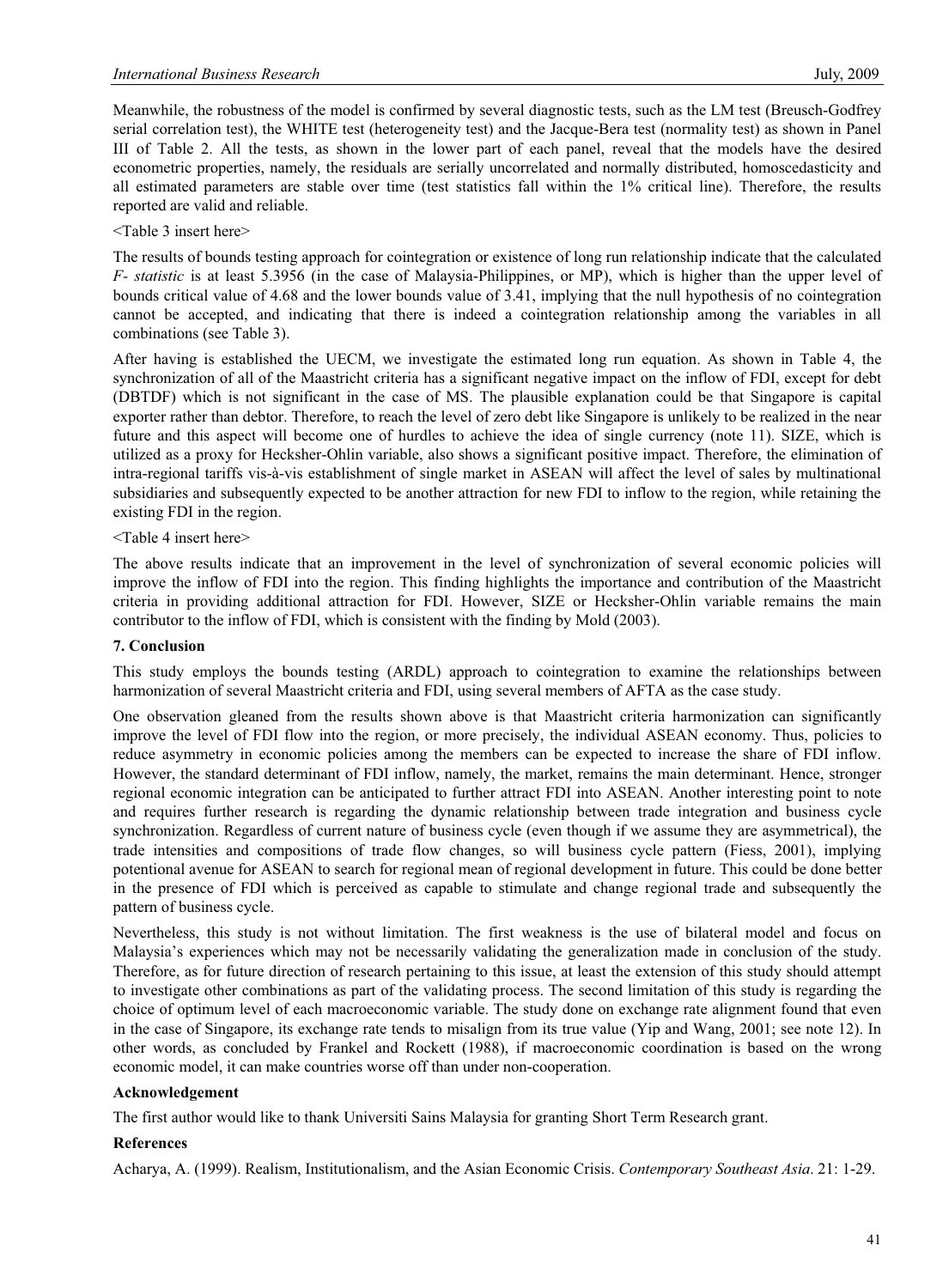Meanwhile, the robustness of the model is confirmed by several diagnostic tests, such as the LM test (Breusch-Godfrey serial correlation test), the WHITE test (heterogeneity test) and the Jacque-Bera test (normality test) as shown in Panel III of Table 2. All the tests, as shown in the lower part of each panel, reveal that the models have the desired econometric properties, namely, the residuals are serially uncorrelated and normally distributed, homoscedasticity and all estimated parameters are stable over time (test statistics fall within the 1% critical line). Therefore, the results reported are valid and reliable.

<Table 3 insert here>

The results of bounds testing approach for cointegration or existence of long run relationship indicate that the calculated *F- statistic* is at least 5.3956 (in the case of Malaysia-Philippines, or MP), which is higher than the upper level of bounds critical value of 4.68 and the lower bounds value of 3.41, implying that the null hypothesis of no cointegration cannot be accepted, and indicating that there is indeed a cointegration relationship among the variables in all combinations (see Table 3).

After having is established the UECM, we investigate the estimated long run equation. As shown in Table 4, the synchronization of all of the Maastricht criteria has a significant negative impact on the inflow of FDI, except for debt (DBTDF) which is not significant in the case of MS. The plausible explanation could be that Singapore is capital exporter rather than debtor. Therefore, to reach the level of zero debt like Singapore is unlikely to be realized in the near future and this aspect will become one of hurdles to achieve the idea of single currency (note 11). SIZE, which is utilized as a proxy for Hecksher-Ohlin variable, also shows a significant positive impact. Therefore, the elimination of intra-regional tariffs vis-à-vis establishment of single market in ASEAN will affect the level of sales by multinational subsidiaries and subsequently expected to be another attraction for new FDI to inflow to the region, while retaining the existing FDI in the region.

<Table 4 insert here>

The above results indicate that an improvement in the level of synchronization of several economic policies will improve the inflow of FDI into the region. This finding highlights the importance and contribution of the Maastricht criteria in providing additional attraction for FDI. However, SIZE or Hecksher-Ohlin variable remains the main contributor to the inflow of FDI, which is consistent with the finding by Mold (2003).

## **7. Conclusion**

This study employs the bounds testing (ARDL) approach to cointegration to examine the relationships between harmonization of several Maastricht criteria and FDI, using several members of AFTA as the case study.

One observation gleaned from the results shown above is that Maastricht criteria harmonization can significantly improve the level of FDI flow into the region, or more precisely, the individual ASEAN economy. Thus, policies to reduce asymmetry in economic policies among the members can be expected to increase the share of FDI inflow. However, the standard determinant of FDI inflow, namely, the market, remains the main determinant. Hence, stronger regional economic integration can be anticipated to further attract FDI into ASEAN. Another interesting point to note and requires further research is regarding the dynamic relationship between trade integration and business cycle synchronization. Regardless of current nature of business cycle (even though if we assume they are asymmetrical), the trade intensities and compositions of trade flow changes, so will business cycle pattern (Fiess, 2001), implying potentional avenue for ASEAN to search for regional mean of regional development in future. This could be done better in the presence of FDI which is perceived as capable to stimulate and change regional trade and subsequently the pattern of business cycle.

Nevertheless, this study is not without limitation. The first weakness is the use of bilateral model and focus on Malaysia's experiences which may not be necessarily validating the generalization made in conclusion of the study. Therefore, as for future direction of research pertaining to this issue, at least the extension of this study should attempt to investigate other combinations as part of the validating process. The second limitation of this study is regarding the choice of optimum level of each macroeconomic variable. The study done on exchange rate alignment found that even in the case of Singapore, its exchange rate tends to misalign from its true value (Yip and Wang, 2001; see note 12). In other words, as concluded by Frankel and Rockett (1988), if macroeconomic coordination is based on the wrong economic model, it can make countries worse off than under non-cooperation.

## **Acknowledgement**

The first author would like to thank Universiti Sains Malaysia for granting Short Term Research grant.

## **References**

Acharya, A. (1999). Realism, Institutionalism, and the Asian Economic Crisis. *Contemporary Southeast Asia*. 21: 1-29.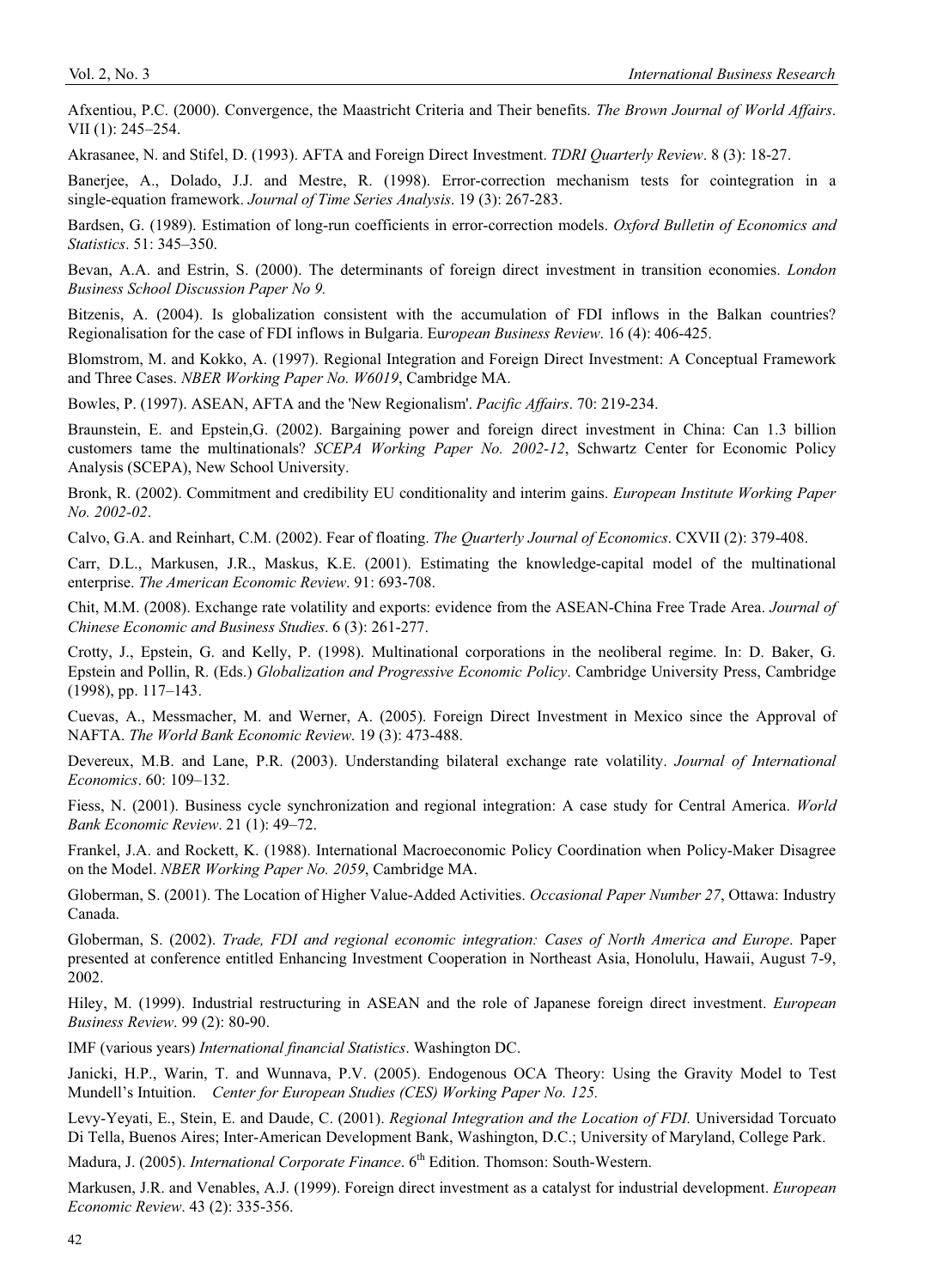Afxentiou, P.C. (2000). Convergence, the Maastricht Criteria and Their benefits. *The Brown Journal of World Affairs*. VII (1): 245–254.

Akrasanee, N. and Stifel, D. (1993). AFTA and Foreign Direct Investment. *TDRI Quarterly Review*. 8 (3): 18-27.

Banerjee, A., Dolado, J.J. and Mestre, R. (1998). Error-correction mechanism tests for cointegration in a single-equation framework. *Journal of Time Series Analysis*. 19 (3): 267-283.

Bardsen, G. (1989). Estimation of long-run coefficients in error-correction models. *Oxford Bulletin of Economics and Statistics*. 51: 345–350.

Bevan, A.A. and Estrin, S. (2000). The determinants of foreign direct investment in transition economies. *London Business School Discussion Paper No 9.*

Bitzenis, A. (2004). Is globalization consistent with the accumulation of FDI inflows in the Balkan countries? Regionalisation for the case of FDI inflows in Bulgaria. Eu*ropean Business Review*. 16 (4): 406-425.

Blomstrom, M. and Kokko, A. (1997). Regional Integration and Foreign Direct Investment: A Conceptual Framework and Three Cases. *NBER Working Paper No. W6019*, Cambridge MA.

Bowles, P. (1997). ASEAN, AFTA and the 'New Regionalism'. *Pacific Affairs*. 70: 219-234.

Braunstein, E. and Epstein,G. (2002). Bargaining power and foreign direct investment in China: Can 1.3 billion customers tame the multinationals? *SCEPA Working Paper No. 2002-12*, Schwartz Center for Economic Policy Analysis (SCEPA), New School University.

Bronk, R. (2002). Commitment and credibility EU conditionality and interim gains. *European Institute Working Paper No. 2002-02*.

Calvo, G.A. and Reinhart, C.M. (2002). Fear of floating. *The Quarterly Journal of Economics*. CXVII (2): 379-408.

Carr, D.L., Markusen, J.R., Maskus, K.E. (2001). Estimating the knowledge-capital model of the multinational enterprise. *The American Economic Review*. 91: 693-708.

Chit, M.M. (2008). Exchange rate volatility and exports: evidence from the ASEAN-China Free Trade Area. *Journal of Chinese Economic and Business Studies*. 6 (3): 261-277.

Crotty, J., Epstein, G. and Kelly, P. (1998). Multinational corporations in the neoliberal regime. In: D. Baker, G. Epstein and Pollin, R. (Eds.) *Globalization and Progressive Economic Policy*. Cambridge University Press, Cambridge (1998), pp. 117–143.

Cuevas, A., Messmacher, M. and Werner, A. (2005). Foreign Direct Investment in Mexico since the Approval of NAFTA. *The World Bank Economic Review*. 19 (3): 473-488.

Devereux, M.B. and Lane, P.R. (2003). Understanding bilateral exchange rate volatility. *Journal of International Economics*. 60: 109–132.

Fiess, N. (2001). Business cycle synchronization and regional integration: A case study for Central America. *World Bank Economic Review*. 21 (1): 49–72.

Frankel, J.A. and Rockett, K. (1988). International Macroeconomic Policy Coordination when Policy-Maker Disagree on the Model. *NBER Working Paper No. 2059*, Cambridge MA.

Globerman, S. (2001). The Location of Higher Value-Added Activities. *Occasional Paper Number 27*, Ottawa: Industry Canada.

Globerman, S. (2002). *Trade, FDI and regional economic integration: Cases of North America and Europe*. Paper presented at conference entitled Enhancing Investment Cooperation in Northeast Asia, Honolulu, Hawaii, August 7-9, 2002.

Hiley, M. (1999). Industrial restructuring in ASEAN and the role of Japanese foreign direct investment. *European Business Review*. 99 (2): 80-90.

IMF (various years) *International financial Statistics*. Washington DC.

Janicki, H.P., Warin, T. and Wunnava, P.V. (2005). Endogenous OCA Theory: Using the Gravity Model to Test Mundell's Intuition. *Center for European Studies (CES) Working Paper No. 125.* 

Levy-Yeyati, E., Stein, E. and Daude, C. (2001). *Regional Integration and the Location of FDI.* Universidad Torcuato Di Tella, Buenos Aires; Inter-American Development Bank, Washington, D.C.; University of Maryland, College Park.

Madura, J. (2005). *International Corporate Finance*. 6<sup>th</sup> Edition. Thomson: South-Western.

Markusen, J.R. and Venables, A.J. (1999). Foreign direct investment as a catalyst for industrial development. *European Economic Review*. 43 (2): 335-356.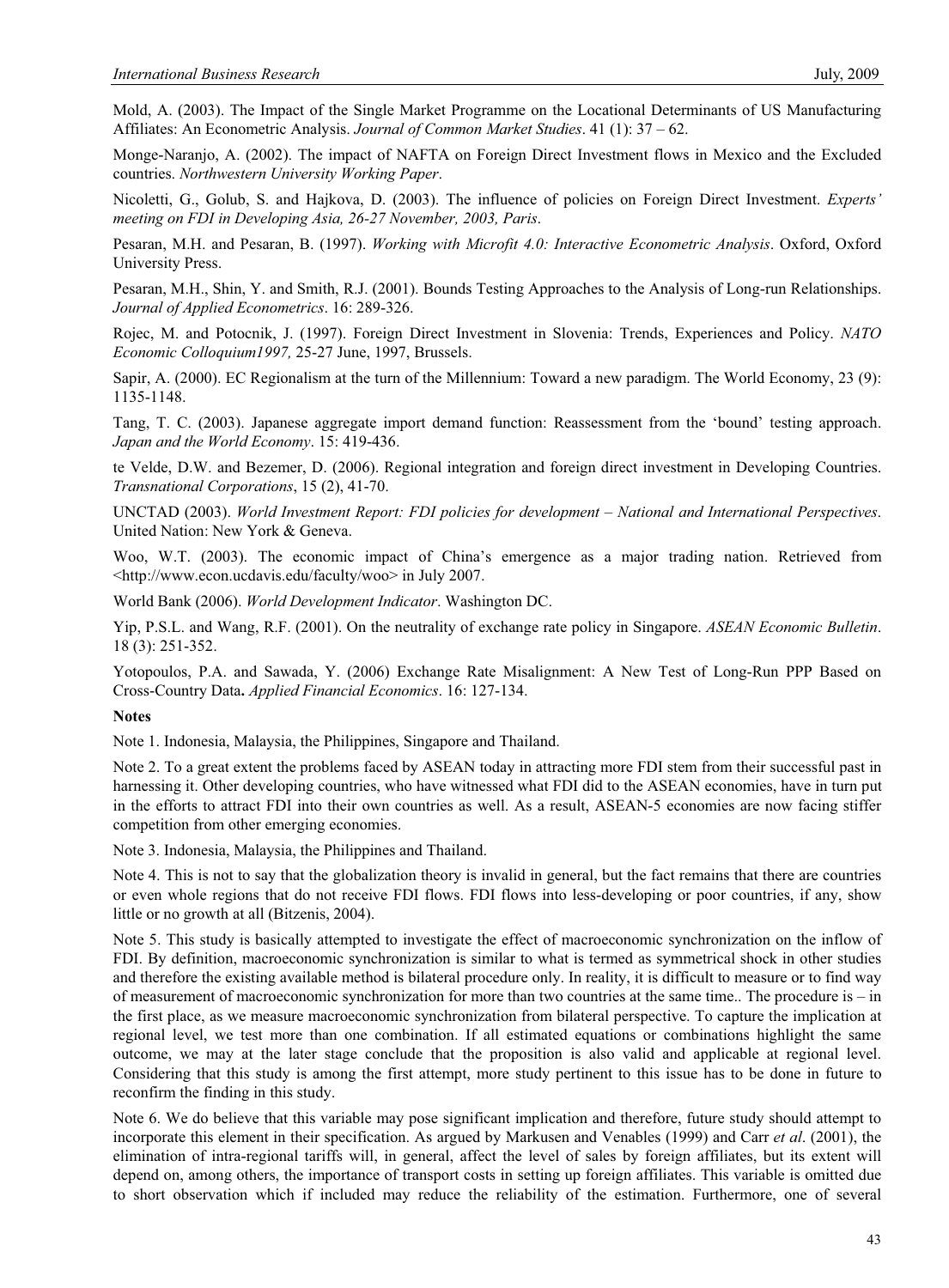Mold, A. (2003). The Impact of the Single Market Programme on the Locational Determinants of US Manufacturing Affiliates: An Econometric Analysis. *Journal of Common Market Studies*. 41 (1): 37 – 62.

Monge-Naranjo, A. (2002). The impact of NAFTA on Foreign Direct Investment flows in Mexico and the Excluded countries. *Northwestern University Working Paper*.

Nicoletti, G., Golub, S. and Hajkova, D. (2003). The influence of policies on Foreign Direct Investment. *Experts' meeting on FDI in Developing Asia, 26-27 November, 2003, Paris*.

Pesaran, M.H. and Pesaran, B. (1997). *Working with Microfit 4.0: Interactive Econometric Analysis*. Oxford, Oxford University Press.

Pesaran, M.H., Shin, Y. and Smith, R.J. (2001). Bounds Testing Approaches to the Analysis of Long-run Relationships. *Journal of Applied Econometrics*. 16: 289-326.

Rojec, M. and Potocnik, J. (1997). Foreign Direct Investment in Slovenia: Trends, Experiences and Policy. *NATO Economic Colloquium1997,* 25-27 June, 1997, Brussels.

Sapir, A. (2000). EC Regionalism at the turn of the Millennium: Toward a new paradigm. The World Economy, 23 (9): 1135-1148.

Tang, T. C. (2003). Japanese aggregate import demand function: Reassessment from the 'bound' testing approach. *Japan and the World Economy*. 15: 419-436.

te Velde, D.W. and Bezemer, D. (2006). Regional integration and foreign direct investment in Developing Countries. *Transnational Corporations*, 15 (2), 41-70.

UNCTAD (2003). *World Investment Report: FDI policies for development – National and International Perspectives*. United Nation: New York & Geneva.

Woo, W.T. (2003). The economic impact of China's emergence as a major trading nation. Retrieved from <http://www.econ.ucdavis.edu/faculty/woo> in July 2007.

World Bank (2006). *World Development Indicator*. Washington DC.

Yip, P.S.L. and Wang, R.F. (2001). On the neutrality of exchange rate policy in Singapore. *ASEAN Economic Bulletin*. 18 (3): 251-352.

Yotopoulos, P.A. and Sawada, Y. (2006) Exchange Rate Misalignment: A New Test of Long-Run PPP Based on Cross-Country Data**.** *Applied Financial Economics*. 16: 127-134.

#### **Notes**

Note 1. Indonesia, Malaysia, the Philippines, Singapore and Thailand.

Note 2. To a great extent the problems faced by ASEAN today in attracting more FDI stem from their successful past in harnessing it. Other developing countries, who have witnessed what FDI did to the ASEAN economies, have in turn put in the efforts to attract FDI into their own countries as well. As a result, ASEAN-5 economies are now facing stiffer competition from other emerging economies.

Note 3. Indonesia, Malaysia, the Philippines and Thailand.

Note 4. This is not to say that the globalization theory is invalid in general, but the fact remains that there are countries or even whole regions that do not receive FDI flows. FDI flows into less-developing or poor countries, if any, show little or no growth at all (Bitzenis, 2004).

Note 5. This study is basically attempted to investigate the effect of macroeconomic synchronization on the inflow of FDI. By definition, macroeconomic synchronization is similar to what is termed as symmetrical shock in other studies and therefore the existing available method is bilateral procedure only. In reality, it is difficult to measure or to find way of measurement of macroeconomic synchronization for more than two countries at the same time.. The procedure is – in the first place, as we measure macroeconomic synchronization from bilateral perspective. To capture the implication at regional level, we test more than one combination. If all estimated equations or combinations highlight the same outcome, we may at the later stage conclude that the proposition is also valid and applicable at regional level. Considering that this study is among the first attempt, more study pertinent to this issue has to be done in future to reconfirm the finding in this study.

Note 6. We do believe that this variable may pose significant implication and therefore, future study should attempt to incorporate this element in their specification. As argued by Markusen and Venables (1999) and Carr *et al*. (2001), the elimination of intra-regional tariffs will, in general, affect the level of sales by foreign affiliates, but its extent will depend on, among others, the importance of transport costs in setting up foreign affiliates. This variable is omitted due to short observation which if included may reduce the reliability of the estimation. Furthermore, one of several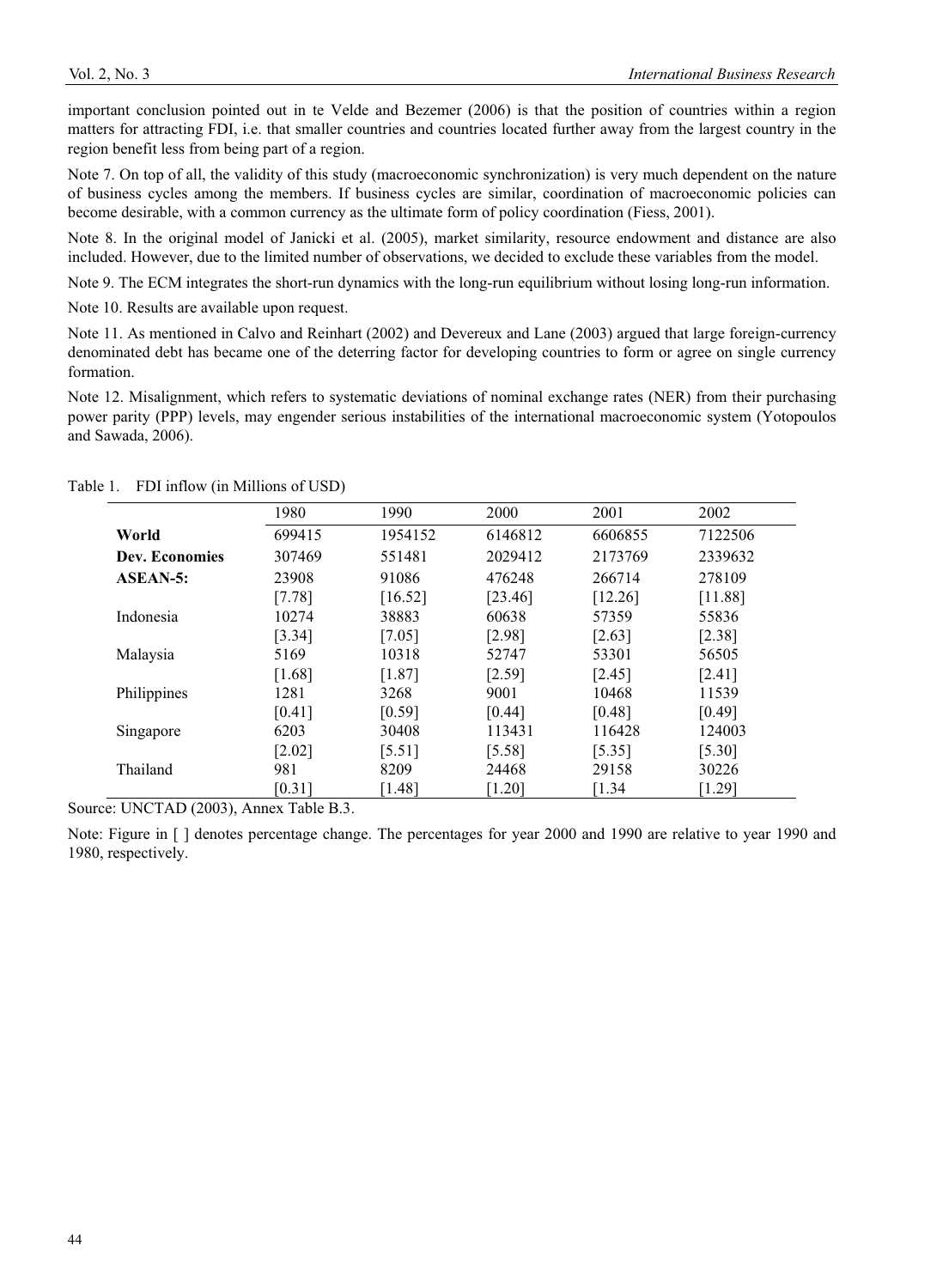important conclusion pointed out in te Velde and Bezemer (2006) is that the position of countries within a region matters for attracting FDI, i.e. that smaller countries and countries located further away from the largest country in the region benefit less from being part of a region.

Note 7. On top of all, the validity of this study (macroeconomic synchronization) is very much dependent on the nature of business cycles among the members. If business cycles are similar, coordination of macroeconomic policies can become desirable, with a common currency as the ultimate form of policy coordination (Fiess, 2001).

Note 8. In the original model of Janicki et al. (2005), market similarity, resource endowment and distance are also included. However, due to the limited number of observations, we decided to exclude these variables from the model.

Note 9. The ECM integrates the short-run dynamics with the long-run equilibrium without losing long-run information.

Note 10. Results are available upon request.

Note 11. As mentioned in Calvo and Reinhart (2002) and Devereux and Lane (2003) argued that large foreign-currency denominated debt has became one of the deterring factor for developing countries to form or agree on single currency formation.

Note 12. Misalignment, which refers to systematic deviations of nominal exchange rates (NER) from their purchasing power parity (PPP) levels, may engender serious instabilities of the international macroeconomic system (Yotopoulos and Sawada, 2006).

|                 | 1980     | 1990    | 2000     | 2001    | 2002     |
|-----------------|----------|---------|----------|---------|----------|
| World           | 699415   | 1954152 | 6146812  | 6606855 | 7122506  |
| Dev. Economies  | 307469   | 551481  | 2029412  | 2173769 | 2339632  |
| <b>ASEAN-5:</b> | 23908    | 91086   | 476248   | 266714  | 278109   |
|                 | [7.78]   | [16.52] | [23.46]  | [12.26] | [11.88]  |
| Indonesia       | 10274    | 38883   | 60638    | 57359   | 55836    |
|                 | [3.34]   | [7.05]  | [2.98]   | [2.63]  | [2.38]   |
| Malaysia        | 5169     | 10318   | 52747    | 53301   | 56505    |
|                 | [1.68]   | [1.87]  | $[2.59]$ | [2.45]  | [2.41]   |
| Philippines     | 1281     | 3268    | 9001     | 10468   | 11539    |
|                 | [0.41]   | [0.59]  | [0.44]   | [0.48]  | [0.49]   |
| Singapore       | 6203     | 30408   | 113431   | 116428  | 124003   |
|                 | $[2.02]$ | [5.51]  | [5.58]   | [5.35]  | $[5.30]$ |
| Thailand        | 981      | 8209    | 24468    | 29158   | 30226    |
|                 | [0.31]   | [1.48]  | [1.20]   | [1.34   | [1.29]   |

Table 1. FDI inflow (in Millions of USD)

Source: UNCTAD (2003), Annex Table B.3.

Note: Figure in [ ] denotes percentage change. The percentages for year 2000 and 1990 are relative to year 1990 and 1980, respectively.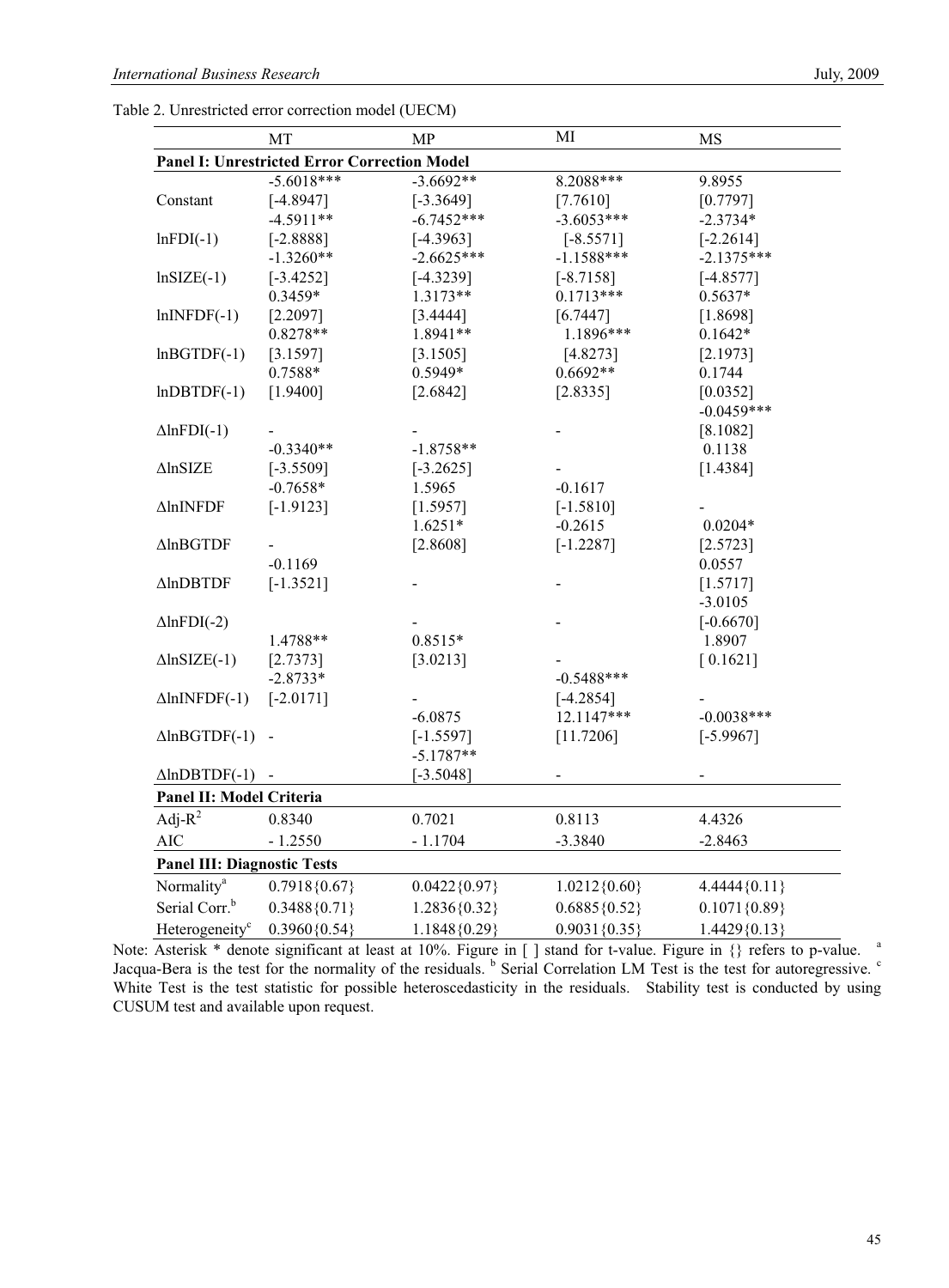|                                    | MT                                           | <b>MP</b>        | MI               | MS               |
|------------------------------------|----------------------------------------------|------------------|------------------|------------------|
|                                    | Panel I: Unrestricted Error Correction Model |                  |                  |                  |
|                                    | $-5.6018***$                                 | $-3.6692**$      | 8.2088***        | 9.8955           |
| Constant                           | $[-4.8947]$                                  | $[-3.3649]$      | [7.7610]         | [0.7797]         |
|                                    | $-4.5911**$                                  | $-6.7452***$     | $-3.6053***$     | $-2.3734*$       |
| $lnFDI(-1)$                        | $[-2.8888]$                                  | $[-4.3963]$      | $[-8.5571]$      | $[-2.2614]$      |
|                                    | $-1.3260**$                                  | $-2.6625***$     | $-1.1588***$     | $-2.1375***$     |
| $lnSIZE(-1)$                       | $[-3.4252]$                                  | $[-4.3239]$      | $[-8.7158]$      | $[-4.8577]$      |
|                                    | 0.3459*                                      | 1.3173**         | $0.1713***$      | $0.5637*$        |
| $lnINFDF(-1)$                      | [2.2097]                                     | [3.4444]         | [6.7447]         | [1.8698]         |
|                                    | $0.8278**$                                   | 1.8941**         | 1.1896***        | $0.1642*$        |
| $ln$ BGTDF $(-1)$                  | [3.1597]                                     | [3.1505]         | [4.8273]         | [2.1973]         |
|                                    | 0.7588*                                      | 0.5949*          | $0.6692**$       | 0.1744           |
| $InDBTDF(-1)$                      | [1.9400]                                     | [2.6842]         | [2.8335]         | [0.0352]         |
|                                    |                                              |                  |                  | $-0.0459***$     |
| $\Delta$ lnFDI(-1)                 |                                              |                  |                  | [8.1082]         |
|                                    | $-0.3340**$                                  | $-1.8758**$      |                  | 0.1138           |
| $\triangle$ lnSIZE                 | $[-3.5509]$                                  | $[-3.2625]$      |                  | [1.4384]         |
|                                    | $-0.7658*$                                   | 1.5965           | $-0.1617$        |                  |
| $\Delta$ lnINFDF                   | $[-1.9123]$                                  | [1.5957]         | $[-1.5810]$      |                  |
|                                    |                                              | $1.6251*$        | $-0.2615$        | $0.0204*$        |
| $\triangle$ lnBGTDF                |                                              | [2.8608]         | $[-1.2287]$      | [2.5723]         |
|                                    | $-0.1169$                                    |                  |                  | 0.0557           |
| $\triangle$ lnDBTDF                | $[-1.3521]$                                  |                  |                  | [1.5717]         |
|                                    |                                              |                  |                  | $-3.0105$        |
| $\Delta$ lnFDI(-2)                 |                                              |                  |                  | $[-0.6670]$      |
|                                    | 1.4788**                                     | $0.8515*$        |                  | 1.8907           |
| $\Delta$ lnSIZE(-1)                | [2.7373]                                     | [3.0213]         |                  | [0.1621]         |
|                                    | $-2.8733*$                                   |                  | $-0.5488***$     |                  |
| $\Delta$ lnINFDF(-1)               | $[-2.0171]$                                  |                  | $[-4.2854]$      |                  |
|                                    |                                              | $-6.0875$        | 12.1147***       | $-0.0038***$     |
| $\Delta$ lnBGTDF(-1) -             |                                              | $[-1.5597]$      | [11.7206]        | $[-5.9967]$      |
|                                    |                                              | $-5.1787**$      |                  |                  |
| $\Delta$ lnDBTDF(-1) -             |                                              | $[-3.5048]$      |                  |                  |
| Panel II: Model Criteria           |                                              |                  |                  |                  |
| Adj- $R^2$                         | 0.8340                                       | 0.7021           | 0.8113           | 4.4326           |
| <b>AIC</b>                         | $-1.2550$                                    | $-1.1704$        | $-3.3840$        | $-2.8463$        |
| <b>Panel III: Diagnostic Tests</b> |                                              |                  |                  |                  |
| Normality <sup>a</sup>             | $0.7918\{0.67\}$                             | $0.0422\{0.97\}$ | $1.0212\{0.60\}$ | $4.4444\{0.11\}$ |
| Serial Corr. <sup>b</sup>          | $0.3488\{0.71\}$                             | 1.2836{0.32}     | $0.6885\{0.52\}$ | $0.1071\{0.89\}$ |
| Heterogeneity <sup>c</sup>         | $0.3960\{0.54\}$                             | 1.1848 { 0.29 }  | $0.9031\{0.35\}$ | 1.4429 { 0.13 }  |

Table 2. Unrestricted error correction model (UECM)

Note: Asterisk \* denote significant at least at 10%. Figure in [ ] stand for t-value. Figure in {} refers to p-value. <sup>a</sup> Jacqua-Bera is the test for the normality of the residuals. <sup>b</sup> Serial Correlation LM Test is the test for autoregressive. <sup>c</sup> White Test is the test statistic for possible heteroscedasticity in the residuals. Stability test is conducted by using CUSUM test and available upon request.